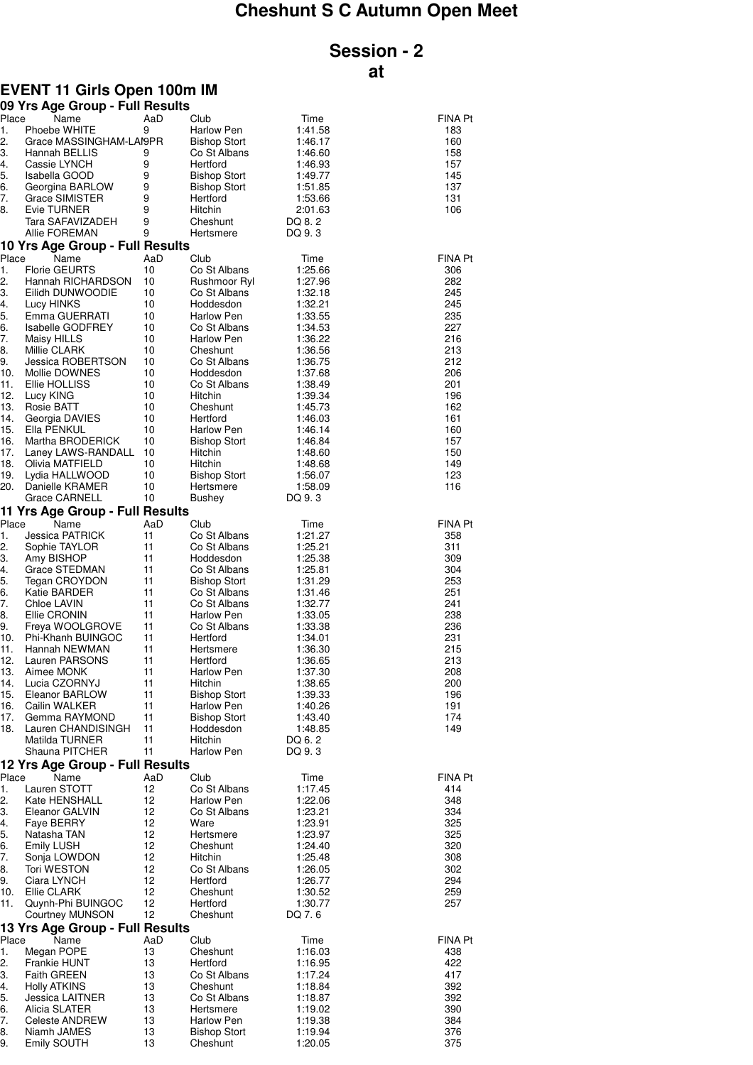## **Cheshunt S C Autumn Open Meet**

## **Session - 2 at**

## **EVENT 11 Girls Open 100m IM**

|            | 09 Yrs Age Group - Full Results          |          |                              |                    |                |
|------------|------------------------------------------|----------|------------------------------|--------------------|----------------|
| Place      | Name                                     | AaD      | Club                         | Time               | FINA Pt        |
| 1.         | Phoebe WHITE                             | 9        | Harlow Pen                   | 1:41.58            | 183            |
| 2.<br>3.   | Grace MASSINGHAM-LAI9PR<br>Hannah BELLIS | 9        | <b>Bishop Stort</b>          | 1:46.17            | 160<br>158     |
| 4.         | Cassie LYNCH                             | 9        | Co St Albans<br>Hertford     | 1:46.60<br>1:46.93 | 157            |
| 5.         | Isabella GOOD                            | 9        | <b>Bishop Stort</b>          | 1:49.77            | 145            |
| 6.         | Georgina BARLOW                          | 9        | <b>Bishop Stort</b>          | 1:51.85            | 137            |
| 7.         | Grace SIMISTER                           | 9        | Hertford                     | 1:53.66            | 131            |
| 8.         | Evie TURNER                              | 9        | Hitchin                      | 2:01.63            | 106            |
|            | Tara SAFAVIZADEH                         | 9        | Cheshunt                     | DQ 8.2             |                |
|            | Allie FOREMAN                            | 9        | Hertsmere                    | DQ 9.3             |                |
|            | 10 Yrs Age Group - Full Results          |          |                              |                    |                |
| Place      | Name                                     | AaD      | Club                         | Time               | FINA Pt        |
| 1.         | <b>Florie GEURTS</b>                     | 10       | Co St Albans                 | 1:25.66            | 306            |
| 2.         | Hannah RICHARDSON                        | 10       | Rushmoor Ryl                 | 1:27.96            | 282            |
| 3.<br>4.   | Eilidh DUNWOODIE<br>Lucy HINKS           | 10<br>10 | Co St Albans<br>Hoddesdon    | 1:32.18<br>1:32.21 | 245<br>245     |
| 5.         | Emma GUERRATI                            | 10       | Harlow Pen                   | 1:33.55            | 235            |
| 6.         | <b>Isabelle GODFREY</b>                  | 10       | Co St Albans                 | 1:34.53            | 227            |
| 7.         | Maisy HILLS                              | 10       | Harlow Pen                   | 1:36.22            | 216            |
| 8.         | Millie CLARK                             | 10       | Cheshunt                     | 1:36.56            | 213            |
| 9.         | Jessica ROBERTSON                        | 10       | Co St Albans                 | 1:36.75            | 212            |
| 10.        | Mollie DOWNES                            | 10       | Hoddesdon                    | 1:37.68            | 206            |
| 11.        | Ellie HOLLISS                            | 10       | Co St Albans                 | 1:38.49            | 201            |
| 12.        | Lucy KING                                | 10       | Hitchin                      | 1:39.34            | 196            |
| 13.<br>14. | Rosie BATT<br>Georgia DAVIES             | 10<br>10 | Cheshunt<br>Hertford         | 1:45.73            | 162<br>161     |
| 15.        | Ella PENKUL                              | 10       | Harlow Pen                   | 1:46.03<br>1:46.14 | 160            |
| 16.        | Martha BRODERICK                         | 10       | <b>Bishop Stort</b>          | 1:46.84            | 157            |
| 17.        | Laney LAWS-RANDALL                       | 10       | Hitchin                      | 1:48.60            | 150            |
| 18.        | Olivia MATFIELD                          | 10       | Hitchin                      | 1:48.68            | 149            |
| 19.        | Lydia HALLWOOD                           | 10       | <b>Bishop Stort</b>          | 1:56.07            | 123            |
| 20.        | Danielle KRAMER                          | 10       | Hertsmere                    | 1:58.09            | 116            |
|            | <b>Grace CARNELL</b>                     | 10       | Bushey                       | DQ 9.3             |                |
|            | 11 Yrs Age Group - Full Results          |          |                              |                    |                |
| Place      | Name                                     | AaD      | Club                         | Time               | <b>FINA Pt</b> |
| 1.<br>2.   | Jessica PATRICK<br>Sophie TAYLOR         | 11<br>11 | Co St Albans<br>Co St Albans | 1:21.27<br>1:25.21 | 358<br>311     |
| З.         | Amy BISHOP                               | 11       | Hoddesdon                    | 1:25.38            | 309            |
| 4.         | Grace STEDMAN                            | 11       | Co St Albans                 | 1:25.81            | 304            |
| 5.         | Tegan CROYDON                            | 11       | <b>Bishop Stort</b>          | 1:31.29            | 253            |
| 6.         | Katie BARDER                             | 11       | Co St Albans                 | 1:31.46            | 251            |
| 7.         | Chloe LAVIN                              | 11       | Co St Albans                 | 1:32.77            | 241            |
| 8.         | Ellie CRONIN                             | 11       | Harlow Pen                   | 1:33.05            | 238            |
| 9.         | Freya WOOLGROVE                          | 11       | Co St Albans                 | 1:33.38            | 236            |
| 10.<br>11. | Phi-Khanh BUINGOC<br>Hannah NEWMAN       | 11<br>11 | Hertford<br>Hertsmere        | 1:34.01<br>1:36.30 | 231<br>215     |
| 12.        | Lauren PARSONS                           | 11       | Hertford                     | 1:36.65            | 213            |
| 13.        | Aimee MONK                               | 11       | Harlow Pen                   | 1:37.30            | 208            |
| 14.        | Lucia CZORNYJ                            | 11       | Hitchin                      | 1:38.65            | 200            |
| 15.        | Eleanor BARLOW                           | 11       | <b>Bishop Stort</b>          | 1:39.33            | 196            |
| 16.        | Cailin WALKER                            | 11       | Harlow Pen                   | 1:40.26            | 191            |
| 17.        | Gemma RAYMOND                            | 11       | <b>Bishop Stort</b>          | 1:43.40            | 174            |
| 18.        | Lauren CHANDISINGH                       | 11       | Hoddesdon                    | 1:48.85            | 149            |
|            | Matilda TURNER<br>Shauna PITCHER         | 11<br>11 | Hitchin<br>Harlow Pen        | DQ 6.2<br>DQ 9.3   |                |
|            | 12 Yrs Age Group - Full Results          |          |                              |                    |                |
| Place      | Name                                     | AaD      | Club                         | Time               | FINA Pt        |
| 1.         | Lauren STOTT                             | 12       | Co St Albans                 | 1:17.45            | 414            |
| 2.         | Kate HENSHALL                            | 12       | Harlow Pen                   | 1:22.06            | 348            |
| З.         | Eleanor GALVIN                           | 12       | Co St Albans                 | 1:23.21            | 334            |
| 4.         | Faye BERRY                               | 12       | Ware                         | 1:23.91            | 325            |
| 5.         | Natasha TAN                              | 12       | Hertsmere                    | 1:23.97            | 325            |
| 6.         | <b>Emily LUSH</b>                        | 12       | Cheshunt                     | 1:24.40            | 320            |
| 7.         | Sonja LOWDON                             | 12       | Hitchin                      | 1:25.48            | 308            |
| 8.<br>9.   | <b>Tori WESTON</b>                       | 12<br>12 | Co St Albans                 | 1:26.05            | 302<br>294     |
| 10.        | Ciara LYNCH<br>Ellie CLARK               | 12       | Hertford<br>Cheshunt         | 1:26.77<br>1:30.52 | 259            |
| 11.        | Quynh-Phi BUINGOC                        | 12       | Hertford                     | 1:30.77            | 257            |
|            | <b>Courtney MUNSON</b>                   | 12       | Cheshunt                     | DQ 7.6             |                |
|            | 13 Yrs Age Group - Full Results          |          |                              |                    |                |
| Place      | Name                                     | AaD      | Club                         | Time               | <b>FINA Pt</b> |
| 1.         | Megan POPE                               | 13       | Cheshunt                     | 1:16.03            | 438            |
| 2.         | Frankie HUNT                             | 13       | Hertford                     | 1:16.95            | 422            |
| З.         | <b>Faith GREEN</b>                       | 13       | Co St Albans                 | 1:17.24            | 417            |
| 4.         | <b>Holly ATKINS</b>                      | 13       | Cheshunt                     | 1:18.84            | 392            |
| 5.<br>6.   | Jessica LAITNER<br>Alicia SLATER         | 13<br>13 | Co St Albans<br>Hertsmere    | 1:18.87<br>1:19.02 | 392<br>390     |
| 7.         | <b>Celeste ANDREW</b>                    | 13       | Harlow Pen                   | 1:19.38            | 384            |
| 8.         | Niamh JAMES                              | 13       | <b>Bishop Stort</b>          | 1:19.94            | 376            |
| 9.         | Emily SOUTH                              | 13       | Cheshunt                     | 1:20.05            | 375            |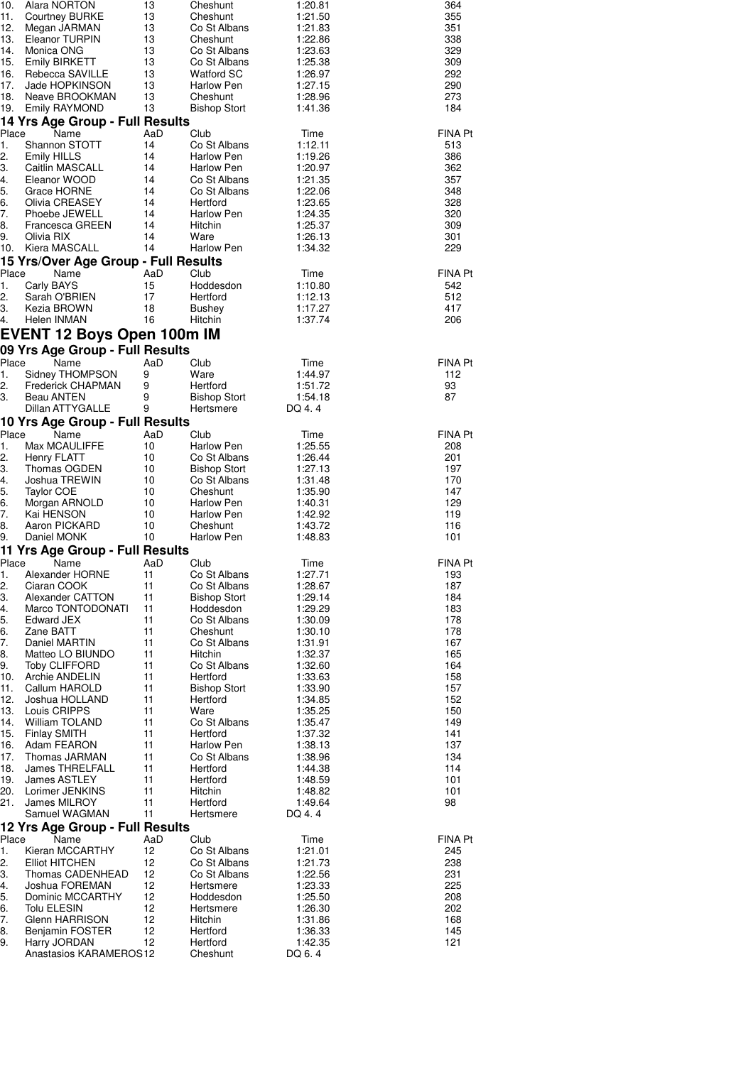| 10.<br>11. | Alara NORTON<br><b>Courtney BURKE</b>            | 13<br>13  | Cheshunt<br>Cheshunt                   | 1:20.81<br>1:21.50 | 364<br>355            |
|------------|--------------------------------------------------|-----------|----------------------------------------|--------------------|-----------------------|
| 12.        | Megan JARMAN                                     | 13        | Co St Albans                           | 1:21.83            | 351                   |
| 13.        | Eleanor TURPIN                                   | 13        | Cheshunt                               | 1:22.86            | 338                   |
| 14.<br>15. | Monica ONG<br><b>Emily BIRKETT</b>               | 13<br>13  | Co St Albans<br>Co St Albans           | 1:23.63<br>1:25.38 | 329<br>309            |
| 16.        | Rebecca SAVILLE                                  | 13        | Watford SC                             | 1:26.97            | 292                   |
| 17.        | Jade HOPKINSON                                   | 13        | Harlow Pen                             | 1:27.15            | 290                   |
| 18.        | Neave BROOKMAN                                   | 13        | Cheshunt                               | 1:28.96            | 273                   |
| 19.        | Emily RAYMOND<br>14 Yrs Age Group - Full Results | 13        | <b>Bishop Stort</b>                    | 1:41.36            | 184                   |
| Place      | Name                                             | AaD       | Club                                   | Time               | FINA Pt               |
| 1.         | Shannon STOTT                                    | 14        | Co St Albans                           | 1:12.11            | 513                   |
| 2.<br>3.   | <b>Emily HILLS</b><br>Caitlin MASCALL            | 14<br>14  | Harlow Pen<br>Harlow Pen               | 1:19.26<br>1:20.97 | 386<br>362            |
| 4.         | Eleanor WOOD                                     | 14        | Co St Albans                           | 1:21.35            | 357                   |
| 5.         | Grace HORNE                                      | 14        | Co St Albans                           | 1:22.06            | 348                   |
| 6.<br>7.   | Olivia CREASEY                                   | 14<br>14  | Hertford                               | 1:23.65            | 328<br>320            |
| 8.         | Phoebe JEWELL<br>Francesca GREEN                 | 14        | Harlow Pen<br>Hitchin                  | 1:24.35<br>1:25.37 | 309                   |
| 9.         | Olivia RIX                                       | 14        | Ware                                   | 1:26.13            | 301                   |
| 10.        | Kiera MASCALL                                    | 14        | Harlow Pen                             | 1:34.32            | 229                   |
| Place      | 15 Yrs/Over Age Group - Full Results<br>Name     | AaD       | Club                                   |                    | FINA Pt               |
| 1.         | Carly BAYS                                       | 15        | Hoddesdon                              | Time<br>1:10.80    | 542                   |
| 2.         | Sarah O'BRIEN                                    | 17        | Hertford                               | 1:12.13            | 512                   |
| 3.         | Kezia BROWN                                      | 18        | <b>Bushey</b>                          | 1:17.27            | 417                   |
| 4.         | Helen INMAN                                      | 16        | Hitchin                                | 1:37.74            | 206                   |
|            | <b>EVENT 12 Boys Open 100m IM</b>                |           |                                        |                    |                       |
| Place      | 09 Yrs Age Group - Full Results<br>Name          | AaD       | Club                                   | Time               | <b>FINA Pt</b>        |
| 1.         | Sidney THOMPSON                                  | 9         | Ware                                   | 1:44.97            | 112                   |
| 2.         | Frederick CHAPMAN                                | 9         | Hertford                               | 1:51.72            | 93                    |
| 3.         | Beau ANTEN<br>Dillan ATTYGALLE                   | 9<br>9    | Bishop Stort<br>Hertsmere              | 1:54.18<br>DQ 4.4  | 87                    |
|            | 10 Yrs Age Group - Full Results                  |           |                                        |                    |                       |
| Place      | Name                                             | AaD       | Club                                   | Time               | FINA Pt               |
| 1.         | Max MCAULIFFE                                    | 10        | <b>Harlow Pen</b>                      | 1:25.55            | 208                   |
| 2.<br>3.   | Henry FLATT<br>Thomas OGDEN                      | 10<br>10  | Co St Albans<br><b>Bishop Stort</b>    | 1:26.44<br>1:27.13 | 201<br>197            |
| 4.         | Joshua TREWIN                                    | 10        | Co St Albans                           | 1:31.48            | 170                   |
| 5.         | Taylor COE                                       | 10        | Cheshunt                               | 1:35.90            | 147                   |
| 6.<br>7.   | Morgan ARNOLD<br>Kai HENSON                      | 10<br>10  | <b>Harlow Pen</b><br><b>Harlow Pen</b> | 1:40.31<br>1:42.92 | 129<br>119            |
| 8.         | Aaron PICKARD                                    | 10        | Cheshunt                               | 1:43.72            | 116                   |
| 9.         | Daniel MONK                                      | 10        | <b>Harlow Pen</b>                      | 1:48.83            | 101                   |
|            | 11 Yrs Age Group - Full Results                  |           |                                        |                    |                       |
| 1.         | Place<br>Name<br>Alexander HORNE                 | AaD<br>11 | Club<br>Co St Albans                   | Time<br>1:27.71    | <b>FINA Pt</b><br>193 |
| 2.         | Ciaran COOK                                      | 11        | Co St Albans                           | 1:28.67            | 187                   |
| 3.         | Alexander CATTON                                 | 11        | <b>Bishop Stort</b>                    | 1:29.14            | 184                   |
| 4.<br>5.   | Marco TONTODONATI<br><b>Edward JEX</b>           | 11<br>11  | Hoddesdon<br>Co St Albans              | 1:29.29<br>1:30.09 | 183<br>178            |
| 6.         | Zane BATT                                        | 11        | Cheshunt                               | 1:30.10            | 178                   |
| 7.         | Daniel MARTIN                                    | 11        | Co St Albans                           | 1:31.91            | 167                   |
| 8.<br>9.   | Matteo LO BIUNDO<br><b>Toby CLIFFORD</b>         | 11<br>11  | Hitchin<br>Co St Albans                | 1:32.37<br>1:32.60 | 165<br>164            |
| 10.        | Archie ANDELIN                                   | 11        | Hertford                               | 1:33.63            | 158                   |
| 11.        | Callum HAROLD                                    | 11        | <b>Bishop Stort</b>                    | 1:33.90            | 157                   |
| 12.        | Joshua HOLLAND                                   | 11        | Hertford                               | 1:34.85            | 152                   |
| 13.<br>14. | Louis CRIPPS<br>William TOLAND                   | 11<br>11  | Ware<br>Co St Albans                   | 1:35.25<br>1:35.47 | 150<br>149            |
| 15.        | Finlay SMITH                                     | 11        | Hertford                               | 1:37.32            | 141                   |
| 16.        | Adam FEARON                                      | 11        | Harlow Pen                             | 1:38.13            | 137                   |
| 17.<br>18. | Thomas JARMAN<br><b>James THRELFALL</b>          | 11<br>11  | Co St Albans<br>Hertford               | 1:38.96<br>1:44.38 | 134<br>114            |
| 19.        | James ASTLEY                                     | 11        | Hertford                               | 1:48.59            | 101                   |
| 20.        | Lorimer JENKINS                                  | 11        | Hitchin                                | 1:48.82            | 101                   |
| 21.        | <b>James MILROY</b><br>Samuel WAGMAN             | 11<br>11  | Hertford<br>Hertsmere                  | 1:49.64<br>DQ 4.4  | 98                    |
|            | 12 Yrs Age Group - Full Results                  |           |                                        |                    |                       |
| Place      | Name                                             | AaD       | Club                                   | Time               | FINA Pt               |
| 1.         | Kieran MCCARTHY                                  | 12        | Co St Albans                           | 1:21.01            | 245                   |
| 2.<br>3.   | <b>Elliot HITCHEN</b><br>Thomas CADENHEAD        | 12<br>12  | Co St Albans<br>Co St Albans           | 1:21.73<br>1:22.56 | 238<br>231            |
| 4.         | Joshua FOREMAN                                   | 12        | Hertsmere                              | 1:23.33            | 225                   |
| 5.         | Dominic MCCARTHY                                 | 12        | Hoddesdon                              | 1:25.50            | 208                   |
| 6.         | Tolu ELESIN                                      | 12        | Hertsmere                              | 1:26.30            | 202                   |
| 7.<br>8.   | Glenn HARRISON<br>Benjamin FOSTER                | 12<br>12  | Hitchin<br>Hertford                    | 1:31.86<br>1:36.33 | 168<br>145            |
| 9.         | Harry JORDAN                                     | 12        | Hertford                               | 1:42.35            | 121                   |
|            | Anastasios KARAMEROS12                           |           | Cheshunt                               | DQ 6.4             |                       |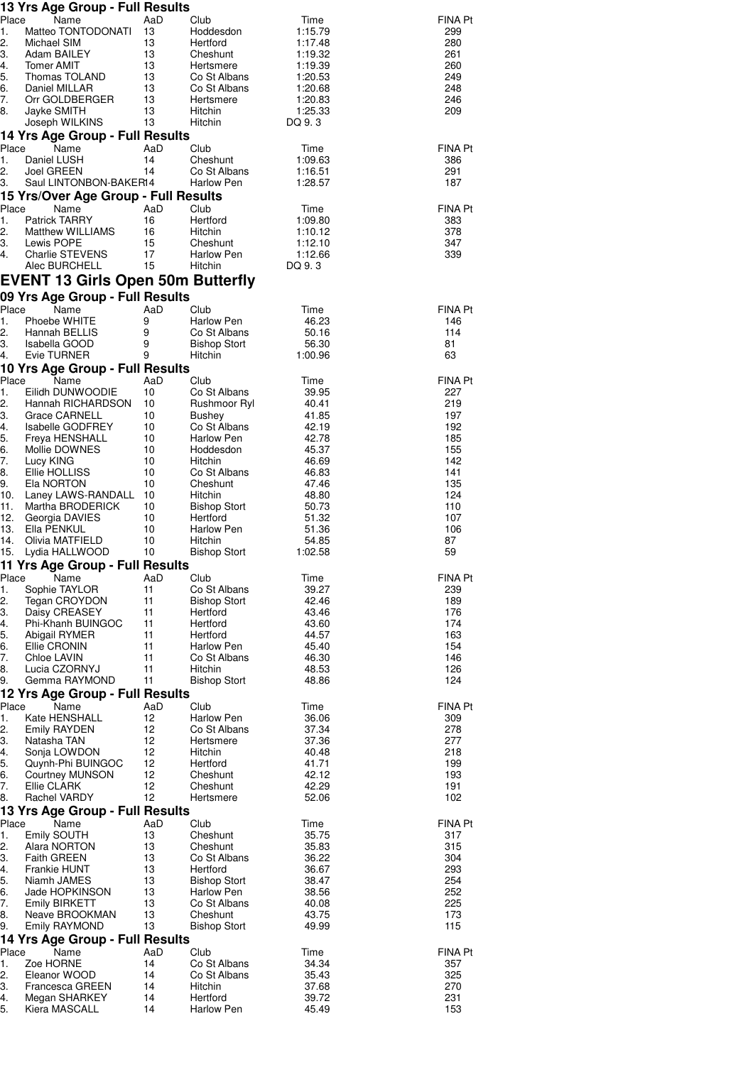|             | 13 Yrs Age Group - Full Results                         |           |                                   |                    |                |
|-------------|---------------------------------------------------------|-----------|-----------------------------------|--------------------|----------------|
| Place<br>1. | Name<br>Matteo TONTODONATI                              | AaD<br>13 | Club<br>Hoddesdon                 | Time<br>1:15.79    | FINA Pt<br>299 |
| 2.          | Michael SIM                                             | 13        | Hertford                          | 1:17.48            | 280            |
| 3.          | Adam BAILEY                                             | 13        | Cheshunt                          | 1:19.32            | 261            |
| 4.<br>5.    | <b>Tomer AMIT</b><br>Thomas TOLAND                      | 13<br>13  | Hertsmere<br>Co St Albans         | 1:19.39<br>1:20.53 | 260<br>249     |
| 6.          | Daniel MILLAR                                           | 13        | Co St Albans                      | 1:20.68            | 248            |
| 7.          | Orr GOLDBERGER                                          | 13        | Hertsmere                         | 1:20.83            | 246            |
| 8.          | Jayke SMITH                                             | 13        | Hitchin                           | 1:25.33            | 209            |
|             | Joseph WILKINS<br>14 Yrs Age Group - Full Results       | 13        | Hitchin                           | DQ 9.3             |                |
| Place       | Name                                                    | AaD       | Club                              | Time               | FINA Pt        |
| 1.          | Daniel LUSH                                             | 14        | Cheshunt                          | 1:09.63            | 386            |
| 2.<br>3.    | Joel GREEN<br>Saul LINTONBON-BAKER14                    | 14        | Co St Albans<br><b>Harlow Pen</b> | 1:16.51<br>1:28.57 | 291<br>187     |
|             | 15 Yrs/Over Age Group - Full Results                    |           |                                   |                    |                |
| Place       | Name                                                    | AaD       | Club                              | Time               | FINA Pt        |
| 1.          | <b>Patrick TARRY</b>                                    | 16        | Hertford                          | 1:09.80            | 383            |
| 2.<br>3.    | Matthew WILLIAMS                                        | 16<br>15  | Hitchin                           | 1:10.12            | 378            |
| 4.          | Lewis POPE<br>Charlie STEVENS                           | 17        | Cheshunt<br>Harlow Pen            | 1:12.10<br>1:12.66 | 347<br>339     |
|             | Alec BURCHELL                                           | 15        | Hitchin                           | DQ 9.3             |                |
|             | <b>EVENT 13 Girls Open 50m Butterfly</b>                |           |                                   |                    |                |
|             | 09 Yrs Age Group - Full Results                         |           |                                   |                    |                |
| Place       | Name                                                    | AaD       | Club                              | Time               | FINA Pt        |
| 1.<br>2.    | Phoebe WHITE<br>Hannah BELLIS                           | 9<br>9    | Harlow Pen<br>Co St Albans        | 46.23<br>50.16     | 146<br>114     |
| 3.          | Isabella GOOD                                           | 9         | <b>Bishop Stort</b>               | 56.30              | 81             |
| 4.          | Evie TURNER                                             | 9         | Hitchin                           | 1:00.96            | 63             |
|             | 10 Yrs Age Group - Full Results                         |           |                                   |                    |                |
| Place<br>1. | Name<br>Eilidh DUNWOODIE                                | AaD<br>10 | Club<br>Co St Albans              | Time<br>39.95      | FINA Pt<br>227 |
| 2.          | Hannah RICHARDSON                                       | 10        | Rushmoor Ryl                      | 40.41              | 219            |
| 3.          | Grace CARNELL                                           | 10        | Bushey                            | 41.85              | 197            |
| 4.<br>5.    | Isabelle GODFREY<br>Freya HENSHALL                      | 10<br>10  | Co St Albans<br>Harlow Pen        | 42.19<br>42.78     | 192<br>185     |
| 6.          | Mollie DOWNES                                           | 10        | Hoddesdon                         | 45.37              | 155            |
| 7.          | Lucy KING                                               | 10        | Hitchin                           | 46.69              | 142            |
| 8.<br>9.    | Ellie HOLLISS<br>Ela NORTON                             | 10<br>10  | Co St Albans<br>Cheshunt          | 46.83<br>47.46     | 141<br>135     |
| 10.         | Laney LAWS-RANDALL                                      | 10        | Hitchin                           | 48.80              | 124            |
| 11.         | Martha BRODERICK                                        | 10        | <b>Bishop Stort</b>               | 50.73              | 110            |
| 12.<br>13.  | Georgia DAVIES<br>Ella PENKUL                           | 10<br>10  | Hertford<br>Harlow Pen            | 51.32<br>51.36     | 107<br>106     |
| 14.         | Olivia MATFIELD                                         | 10        | Hitchin                           | 54.85              | 87             |
| 15.         | Lydia HALLWOOD                                          | 10        | <b>Bishop Stort</b>               | 1:02.58            | 59             |
|             | 11 Yrs Age Group - Full Results                         |           |                                   |                    |                |
| Place<br>1. | Name<br>Sophie TAYLOR                                   | AaD<br>11 | Club<br>Co St Albans              | Time<br>39.27      | FINA Pt<br>239 |
| 2.          | Tegan CROYDON                                           | 11        | <b>Bishop Stort</b>               | 42.46              | 189            |
| 3.          | Daisy CREASEY                                           | 11        | Hertford                          | 43.46              | 176            |
| 4.<br>5.    | Phi-Khanh BUINGOC<br>Abigail RYMER                      | 11<br>11  | Hertford<br>Hertford              | 43.60<br>44.57     | 174<br>163     |
| 6.          | Ellie CRONIN                                            | 11        | Harlow Pen                        | 45.40              | 154            |
| 7.          | Chloe LAVIN                                             | 11        | Co St Albans                      | 46.30              | 146            |
| 8.<br>9.    | Lucia CZORNYJ<br>Gemma RAYMOND                          | 11<br>11  | Hitchin<br><b>Bishop Stort</b>    | 48.53<br>48.86     | 126<br>124     |
|             | 12 Yrs Age Group - Full Results                         |           |                                   |                    |                |
| Place       | Name                                                    | AaD       | Club                              | Time               | FINA Pt        |
| 1.          | Kate HENSHALL                                           | 12        | Harlow Pen                        | 36.06              | 309            |
| 2.<br>З.    | Emily RAYDEN<br>Natasha TAN                             | 12<br>12  | Co St Albans<br>Hertsmere         | 37.34<br>37.36     | 278<br>277     |
| 4.          | Sonja LOWDON                                            | 12        | Hitchin                           | 40.48              | 218            |
| 5.          | Quynh-Phi BUINGOC                                       | 12        | Hertford                          | 41.71              | 199            |
| 6.<br>7.    | <b>Courtney MUNSON</b><br>Ellie CLARK                   | 12<br>12  | Cheshunt<br>Cheshunt              | 42.12<br>42.29     | 193<br>191     |
| 8.          | Rachel VARDY                                            | 12        | Hertsmere                         | 52.06              | 102            |
|             | 13 Yrs Age Group - Full Results                         |           |                                   |                    |                |
| Place<br>1. | Name<br>Emily SOUTH                                     | AaD<br>13 | Club<br>Cheshunt                  | Time<br>35.75      | FINA Pt<br>317 |
| 2.          | Alara NORTON                                            | 13        | Cheshunt                          | 35.83              | 315            |
| 3.          | <b>Faith GREEN</b>                                      | 13        | Co St Albans                      | 36.22              | 304            |
| 4.<br>5.    | Frankie HUNT<br>Niamh JAMES                             | 13<br>13  | Hertford<br><b>Bishop Stort</b>   | 36.67<br>38.47     | 293<br>254     |
| 6.          | Jade HOPKINSON                                          | 13        | Harlow Pen                        | 38.56              | 252            |
| 7.          | <b>Emily BIRKETT</b>                                    | 13        | Co St Albans                      | 40.08              | 225            |
| 8.<br>9.    | Neave BROOKMAN                                          | 13<br>13  | Cheshunt                          | 43.75              | 173            |
|             | Emily RAYMOND<br><b>14 Yrs Age Group - Full Results</b> |           | <b>Bishop Stort</b>               | 49.99              | 115            |
| Place       | Name                                                    | AaD       | Club                              | Time               | FINA Pt        |
| 1.          | Zoe HORNE                                               | 14        | Co St Albans                      | 34.34              | 357            |
| 2.<br>3.    | Eleanor WOOD<br><b>Francesca GREEN</b>                  | 14<br>14  | Co St Albans<br>Hitchin           | 35.43<br>37.68     | 325<br>270     |
| 4.          | Megan SHARKEY                                           | 14        | Hertford                          | 39.72              | 231            |
| 5.          | Kiera MASCALL                                           | 14        | Harlow Pen                        | 45.49              | 153            |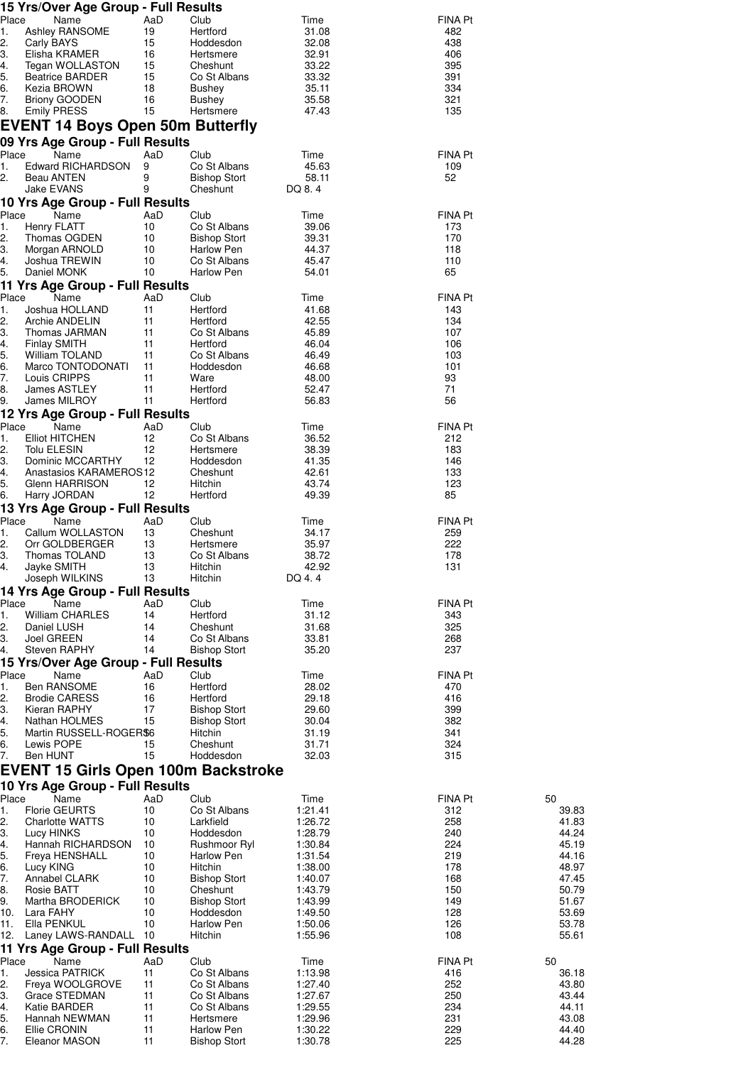| Place       | 15 Yrs/Over Age Group - Full Results<br>Name  | AaD       | Club                              | Time               | FINA Pt        |                |
|-------------|-----------------------------------------------|-----------|-----------------------------------|--------------------|----------------|----------------|
| 1.          | Ashley RANSOME                                | 19        | Hertford                          | 31.08              | 482            |                |
| 2.          | Carly BAYS                                    | 15        | Hoddesdon                         | 32.08              | 438            |                |
| 3.          | Elisha KRAMER                                 | 16        | Hertsmere                         | 32.91              | 406            |                |
| 4.          | Tegan WOLLASTON                               | 15        | Cheshunt                          | 33.22              | 395            |                |
| 5.<br>6.    | <b>Beatrice BARDER</b><br>Kezia BROWN         | 15<br>18  | Co St Albans<br><b>Bushey</b>     | 33.32<br>35.11     | 391<br>334     |                |
| 7.          | <b>Briony GOODEN</b>                          | 16        | Bushey                            | 35.58              | 321            |                |
| 8.          | <b>Emily PRESS</b>                            | 15        | Hertsmere                         | 47.43              | 135            |                |
|             | EVENT 14 Boys Open 50m Butterfly              |           |                                   |                    |                |                |
|             | 09 Yrs Age Group - Full Results               |           |                                   |                    |                |                |
| Place       | Name                                          | AaD       | Club                              | Time               | FINA Pt        |                |
| 1.          | Edward RICHARDSON                             | 9         | Co St Albans                      | 45.63              | 109            |                |
| 2.          | <b>Beau ANTEN</b>                             | 9<br>9    | <b>Bishop Stort</b>               | 58.11              | 52             |                |
|             | Jake EVANS<br>10 Yrs Age Group - Full Results |           | Cheshunt                          | DQ 8.4             |                |                |
| Place       | Name                                          | AaD       | Club                              | Time               | <b>FINA Pt</b> |                |
| 1.          | Henry FLATT                                   | 10        | Co St Albans                      | 39.06              | 173            |                |
| 2.          | Thomas OGDEN                                  | 10        | <b>Bishop Stort</b>               | 39.31              | 170            |                |
| 3.          | Morgan ARNOLD                                 | 10        | Harlow Pen                        | 44.37              | 118            |                |
| 4.<br>5.    | Joshua TREWIN<br>Daniel MONK                  | 10<br>10  | Co St Albans<br><b>Harlow Pen</b> | 45.47<br>54.01     | 110<br>65      |                |
|             | 11 Yrs Age Group - Full Results               |           |                                   |                    |                |                |
| Place       | Name                                          | AaD       | Club                              | Time               | <b>FINA Pt</b> |                |
| 1.          | Joshua HOLLAND                                | 11        | Hertford                          | 41.68              | 143            |                |
| 2.          | Archie ANDELIN                                | 11        | Hertford                          | 42.55              | 134            |                |
| З.          | Thomas JARMAN<br><b>Finlay SMITH</b>          | 11        | Co St Albans                      | 45.89              | 107<br>106     |                |
| 4.<br>5.    | William TOLAND                                | 11<br>11  | Hertford<br>Co St Albans          | 46.04<br>46.49     | 103            |                |
| 6.          | Marco TONTODONATI                             | 11        | Hoddesdon                         | 46.68              | 101            |                |
| 7.          | Louis CRIPPS                                  | 11        | Ware                              | 48.00              | 93             |                |
| 8.          | James ASTLEY                                  | 11        | Hertford                          | 52.47              | 71             |                |
| 9.          | James MILROY                                  | 11        | Hertford                          | 56.83              | 56             |                |
| Place       | 12 Yrs Age Group - Full Results<br>Name       | AaD       | Club                              | Time               | <b>FINA Pt</b> |                |
| 1.          | <b>Elliot HITCHEN</b>                         | 12        | Co St Albans                      | 36.52              | 212            |                |
| 2.          | Tolu ELESIN                                   | 12        | Hertsmere                         | 38.39              | 183            |                |
| З.          | Dominic MCCARTHY                              | 12        | Hoddesdon                         | 41.35              | 146            |                |
| 4.          | Anastasios KARAMEROS12                        |           | Cheshunt                          | 42.61              | 133            |                |
| 5.<br>6.    | Glenn HARRISON<br>Harry JORDAN                | 12<br>12  | Hitchin<br>Hertford               | 43.74<br>49.39     | 123<br>85      |                |
|             | 13 Yrs Age Group - Full Results               |           |                                   |                    |                |                |
| Place       | Name                                          | AaD       | Club                              | Time               | <b>FINA Pt</b> |                |
| 1.          | Callum WOLLASTON                              | 13        | Cheshunt                          | 34.17              | 259            |                |
| 2.          | Orr GOLDBERGER                                | 13        | Hertsmere                         | 35.97              | 222            |                |
| 3.<br>4.    | Thomas TOLAND<br>Jayke SMITH                  | 13<br>13  | Co St Albans<br><b>Hitchin</b>    | 38.72<br>42.92     | 178<br>131     |                |
|             | Joseph WILKINS                                | 13        | Hitchin                           | DQ 4.4             |                |                |
|             | 14 Yrs Age Group - Full Results               |           |                                   |                    |                |                |
| Place       | Name                                          | AaD       | Club                              | Time               | FINA Pt        |                |
| 1.          | William CHARLES                               | 14        | Hertford                          | 31.12              | 343            |                |
| 2.<br>З.    | Daniel LUSH<br><b>Joel GREEN</b>              | 14<br>14  | Cheshunt<br>Co St Albans          | 31.68<br>33.81     | 325<br>268     |                |
| 4.          | <b>Steven RAPHY</b>                           | 14        | <b>Bishop Stort</b>               | 35.20              | 237            |                |
|             | 15 Yrs/Over Age Group - Full Results          |           |                                   |                    |                |                |
| Place       | Name                                          | AaD       | Club                              | Time               | FINA Pt        |                |
| 1.          | <b>Ben RANSOME</b>                            | 16        | Hertford                          | 28.02              | 470            |                |
| 2.<br>3.    | <b>Brodie CARESS</b><br>Kieran RAPHY          | 16<br>17  | Hertford<br><b>Bishop Stort</b>   | 29.18<br>29.60     | 416<br>399     |                |
| 4.          | Nathan HOLMES                                 | 15        | <b>Bishop Stort</b>               | 30.04              | 382            |                |
| 5.          | Martin RUSSELL-ROGER\$6                       |           | Hitchin                           | 31.19              | 341            |                |
| 6.          | Lewis POPE                                    | 15        | Cheshunt                          | 31.71              | 324            |                |
| 7.          | Ben HUNT                                      | 15        | Hoddesdon                         | 32.03              | 315            |                |
|             | EVENT 15 Girls Open 100m Backstroke           |           |                                   |                    |                |                |
|             | 10 Yrs Age Group - Full Results               |           |                                   |                    |                |                |
| Place<br>1. | Name<br><b>Florie GEURTS</b>                  | AaD<br>10 | Club<br>Co St Albans              | Time<br>1:21.41    | FINA Pt<br>312 | 50<br>39.83    |
| 2.          | <b>Charlotte WATTS</b>                        | 10        | Larkfield                         | 1:26.72            | 258            | 41.83          |
| 3.          | Lucy HINKS                                    | 10        | Hoddesdon                         | 1:28.79            | 240            | 44.24          |
| 4.          | Hannah RICHARDSON                             | 10        | Rushmoor Ryl                      | 1:30.84            | 224            | 45.19          |
| 5.          | Freya HENSHALL                                | 10        | Harlow Pen                        | 1:31.54            | 219            | 44.16          |
| 6.<br>7.    | Lucy KING<br>Annabel CLARK                    | 10<br>10  | Hitchin<br><b>Bishop Stort</b>    | 1:38.00<br>1:40.07 | 178<br>168     | 48.97<br>47.45 |
| 8.          | Rosie BATT                                    | 10        | Cheshunt                          | 1:43.79            | 150            | 50.79          |
| 9.          | Martha BRODERICK                              | 10        | <b>Bishop Stort</b>               | 1:43.99            | 149            | 51.67          |
| 10.         | Lara FAHY                                     | 10        | Hoddesdon                         | 1:49.50            | 128            | 53.69          |
| 11.<br>12.  | Ella PENKUL<br>Laney LAWS-RANDALL 10          | 10        | Harlow Pen<br>Hitchin             | 1:50.06<br>1:55.96 | 126<br>108     | 53.78<br>55.61 |
|             | 11 Yrs Age Group - Full Results               |           |                                   |                    |                |                |
| Place       | Name                                          | AaD       | Club                              | Time               | <b>FINA Pt</b> | 50             |
| 1.          | <b>Jessica PATRICK</b>                        | 11        | Co St Albans                      | 1:13.98            | 416            | 36.18          |
| 2.          | Freya WOOLGROVE                               | 11        | Co St Albans                      | 1:27.40            | 252            | 43.80          |
| З.          | Grace STEDMAN                                 | 11        | Co St Albans                      | 1:27.67            | 250            | 43.44          |
| 4.<br>5.    | Katie BARDER<br>Hannah NEWMAN                 | 11<br>11  | Co St Albans<br>Hertsmere         | 1:29.55<br>1:29.96 | 234<br>231     | 44.11<br>43.08 |
| 6.          | Ellie CRONIN                                  | 11        | Harlow Pen                        | 1:30.22            | 229            | 44.40          |
| 7.          | Eleanor MASON                                 | 11        | <b>Bishop Stort</b>               | 1:30.78            | 225            | 44.28          |
|             |                                               |           |                                   |                    |                |                |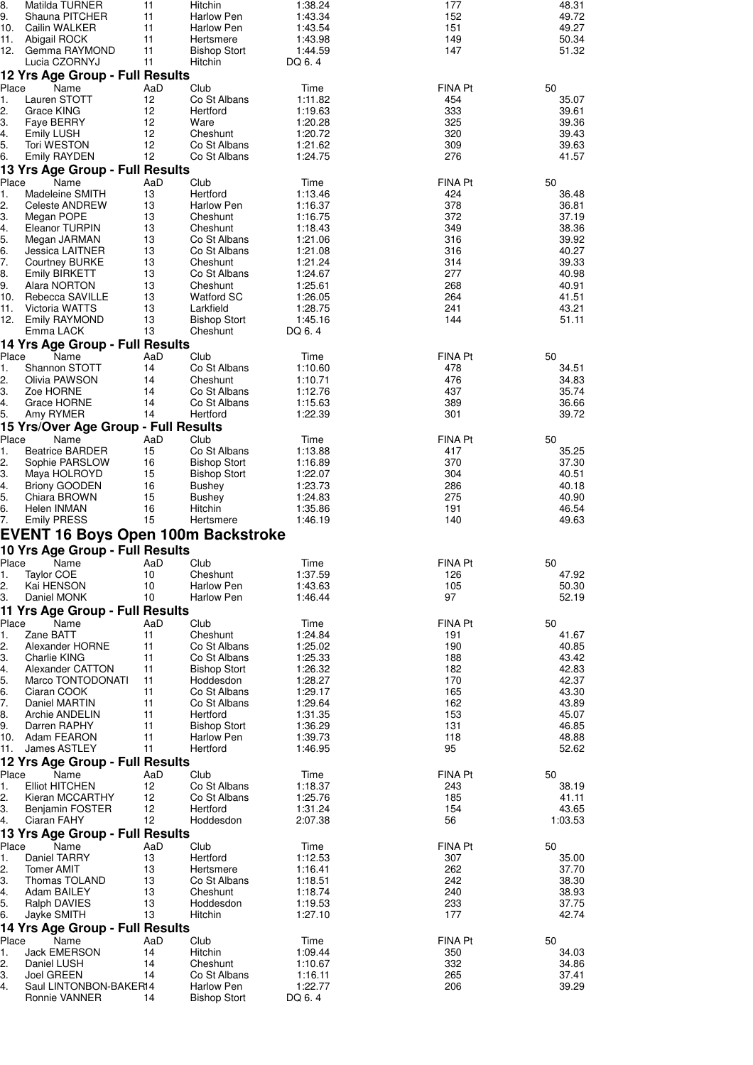| 8.          | Matilda TURNER                                         | 11        | Hitchin                          | 1:38.24            | 177                   | 48.31            |
|-------------|--------------------------------------------------------|-----------|----------------------------------|--------------------|-----------------------|------------------|
| 9.<br>10.   | Shauna PITCHER<br>Cailin WALKER                        | 11<br>11  | Harlow Pen<br>Harlow Pen         | 1:43.34<br>1:43.54 | 152<br>151            | 49.72<br>49.27   |
| 11.         | Abigail ROCK                                           | 11        | Hertsmere                        | 1:43.98            | 149                   | 50.34            |
| 12.         | Gemma RAYMOND<br>Lucia CZORNYJ                         | 11<br>11  | <b>Bishop Stort</b>              | 1:44.59            | 147                   | 51.32            |
|             | 12 Yrs Age Group - Full Results                        |           | Hitchin                          | DQ 6.4             |                       |                  |
| Place       | Name                                                   | AaD       | Club                             | Time               | FINA Pt               | 50               |
| 1.          | Lauren STOTT                                           | 12        | Co St Albans                     | 1:11.82            | 454                   | 35.07            |
| 2.<br>3.    | Grace KING<br>Faye BERRY                               | 12<br>12  | Hertford<br>Ware                 | 1:19.63<br>1:20.28 | 333<br>325            | 39.61<br>39.36   |
| 4.          | <b>Emily LUSH</b>                                      | 12        | Cheshunt                         | 1:20.72            | 320                   | 39.43            |
| 5.          | Tori WESTON                                            | 12        | Co St Albans                     | 1:21.62            | 309                   | 39.63            |
| 6.          | <b>Emily RAYDEN</b><br>13 Yrs Age Group - Full Results | 12        | Co St Albans                     | 1:24.75            | 276                   | 41.57            |
| Place       | Name                                                   | AaD       | Club                             | Time               | FINA Pt               | 50               |
| 1.          | Madeleine SMITH                                        | 13        | Hertford                         | 1:13.46            | 424                   | 36.48            |
| 2.<br>3.    | Celeste ANDREW<br>Megan POPE                           | 13<br>13  | Harlow Pen<br>Cheshunt           | 1:16.37<br>1:16.75 | 378<br>372            | 36.81<br>37.19   |
| 4.          | Eleanor TURPIN                                         | 13        | Cheshunt                         | 1:18.43            | 349                   | 38.36            |
| 5.          | Megan JARMAN                                           | 13        | Co St Albans                     | 1:21.06            | 316                   | 39.92            |
| 6.<br>7.    | Jessica LAITNER<br><b>Courtney BURKE</b>               | 13<br>13  | Co St Albans<br>Cheshunt         | 1:21.08<br>1:21.24 | 316<br>314            | 40.27<br>39.33   |
| 8.          | <b>Emily BIRKETT</b>                                   | 13        | Co St Albans                     | 1:24.67            | 277                   | 40.98            |
| 9.          | Alara NORTON                                           | 13        | Cheshunt                         | 1:25.61            | 268                   | 40.91            |
| 10.<br>11.  | Rebecca SAVILLE<br><b>Victoria WATTS</b>               | 13<br>13  | <b>Watford SC</b><br>Larkfield   | 1:26.05<br>1:28.75 | 264<br>241            | 41.51<br>43.21   |
| 12.         | <b>Emily RAYMOND</b>                                   | 13        | <b>Bishop Stort</b>              | 1:45.16            | 144                   | 51.11            |
|             | Emma LACK                                              | 13        | Cheshunt                         | DQ 6.4             |                       |                  |
| Place       | 14 Yrs Age Group - Full Results<br>Name                | AaD       | Club                             | Time               | FINA Pt               | 50               |
| 1.          | Shannon STOTT                                          | 14        | Co St Albans                     | 1:10.60            | 478                   | 34.51            |
| 2.          | Olivia PAWSON                                          | 14        | Cheshunt                         | 1:10.71            | 476                   | 34.83            |
| 3.<br>4.    | Zoe HORNE<br>Grace HORNE                               | 14<br>14  | Co St Albans<br>Co St Albans     | 1:12.76<br>1:15.63 | 437<br>389            | 35.74<br>36.66   |
| 5.          | Amy RYMER                                              | 14        | Hertford                         | 1:22.39            | 301                   | 39.72            |
|             | 15 Yrs/Over Age Group - Full Results                   |           |                                  |                    |                       |                  |
| Place<br>1. | Name<br><b>Beatrice BARDER</b>                         | AaD<br>15 | Club<br>Co St Albans             | Time<br>1:13.88    | FINA Pt<br>417        | 50<br>35.25      |
| 2.          | Sophie PARSLOW                                         | 16        | <b>Bishop Stort</b>              | 1:16.89            | 370                   | 37.30            |
| 3.          | Maya HOLROYD                                           | 15        | <b>Bishop Stort</b>              | 1:22.07            | 304                   | 40.51            |
| 4.<br>5.    | <b>Briony GOODEN</b><br>Chiara BROWN                   | 16<br>15  | <b>Bushey</b><br><b>Bushey</b>   | 1:23.73<br>1:24.83 | 286<br>275            | 40.18<br>40.90   |
| 6.          | Helen INMAN                                            | 16        | Hitchin                          | 1:35.86            | 191                   | 46.54            |
| 7.          | <b>Emily PRESS</b>                                     | 15        | Hertsmere                        | 1:46.19            | 140                   | 49.63            |
|             | <b>EVENT 16 Boys Open 100m Backstroke</b>              |           |                                  |                    |                       |                  |
|             | 10 Yrs Age Group - Full Results                        |           |                                  |                    |                       |                  |
| 1.          | Place Name AaD<br>Taylor COE                           | 10        | Club<br>Cheshunt                 | Time<br>1:37.59    | <b>FINA Pt</b><br>126 | 50<br>47.92      |
| 2.          | Kai HENSON                                             | 10        | Harlow Pen                       | 1:43.63            | 105                   | 50.30            |
| 3.          | Daniel MONK                                            | 10        | Harlow Pen                       | 1:46.44            | 97                    | 52.19            |
|             | 11 Yrs Age Group - Full Results                        |           |                                  |                    |                       |                  |
| Place<br>1. | Name<br>Zane BATT                                      | AaD<br>11 | Club<br>Cheshunt                 | Time<br>1:24.84    | FINA Pt<br>191        | 50<br>41.67      |
| 2.          | Alexander HORNE                                        | 11        | Co St Albans                     | 1:25.02            | 190                   | 40.85            |
| 3.          | Charlie KING                                           | 11        | Co St Albans                     | 1:25.33            | 188                   | 43.42            |
| 4.<br>5.    | Alexander CATTON<br>Marco TONTODONATI                  | 11<br>11  | <b>Bishop Stort</b><br>Hoddesdon | 1:26.32<br>1:28.27 | 182<br>170            | 42.83<br>42.37   |
| 6.          | Ciaran COOK                                            | 11        | Co St Albans                     | 1:29.17            | 165                   | 43.30            |
| 7.          | Daniel MARTIN                                          | 11        | Co St Albans                     | 1:29.64            | 162                   | 43.89            |
| 8.<br>9.    | Archie ANDELIN<br>Darren RAPHY                         | 11<br>11  | Hertford<br><b>Bishop Stort</b>  | 1:31.35<br>1:36.29 | 153<br>131            | 45.07<br>46.85   |
|             | 10. Adam FEARON                                        | 11        | Harlow Pen                       | 1:39.73            | 118                   | 48.88            |
| 11.         | James ASTLEY                                           | 11        | Hertford                         | 1:46.95            | 95                    | 52.62            |
| Place       | 12 Yrs Age Group - Full Results<br>Name                | AaD       | Club                             | Time               | FINA Pt               | 50               |
| 1.          | <b>Elliot HITCHEN</b>                                  | 12        | Co St Albans                     | 1:18.37            | 243                   | 38.19            |
| 2.          | Kieran MCCARTHY                                        | 12        | Co St Albans                     | 1:25.76            | 185                   | 41.11            |
| 3.<br>4.    | Benjamin FOSTER<br>Ciaran FAHY                         | 12<br>12  | Hertford<br>Hoddesdon            | 1:31.24<br>2:07.38 | 154<br>56             | 43.65<br>1:03.53 |
|             | 13 Yrs Age Group - Full Results                        |           |                                  |                    |                       |                  |
| Place       | Name                                                   | AaD       | Club                             | Time               | FINA Pt               | 50               |
| 1.<br>2.    | Daniel TARRY<br><b>Tomer AMIT</b>                      | 13<br>13  | Hertford<br>Hertsmere            | 1:12.53<br>1:16.41 | 307<br>262            | 35.00<br>37.70   |
| 3.          | Thomas TOLAND                                          | 13        | Co St Albans                     | 1:18.51            | 242                   | 38.30            |
| 4.          | Adam BAILEY                                            | 13        | Cheshunt                         | 1:18.74            | 240                   | 38.93            |
| 5.<br>6.    | Ralph DAVIES<br>Jayke SMITH                            | 13<br>13  | Hoddesdon<br>Hitchin             | 1:19.53<br>1:27.10 | 233<br>177            | 37.75<br>42.74   |
|             | 14 Yrs Age Group - Full Results                        |           |                                  |                    |                       |                  |
| Place       | Name                                                   | AaD       | Club                             | Time               | FINA Pt               | 50               |
| 1.          | Jack EMERSON                                           | 14        | Hitchin                          | 1:09.44            | 350                   | 34.03            |
| 2.<br>3.    | Daniel LUSH<br>Joel GREEN                              | 14<br>14  | Cheshunt<br>Co St Albans         | 1:10.67<br>1:16.11 | 332<br>265            | 34.86<br>37.41   |
| 4.          | Saul LINTONBON-BAKER14                                 |           | Harlow Pen                       | 1:22.77            | 206                   | 39.29            |
|             | Ronnie VANNER                                          | 14        | <b>Bishop Stort</b>              | DQ 6.4             |                       |                  |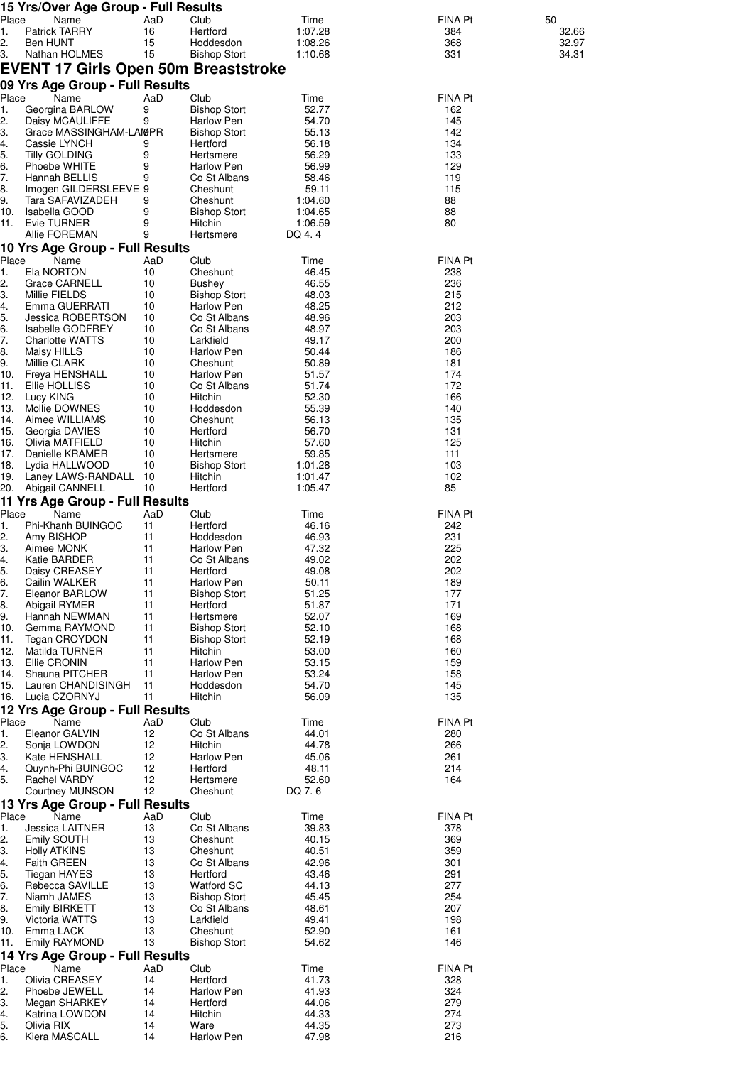|            | 15 Yrs/Over Age Group - Full Results                      |          |                                     |                    |                |                |
|------------|-----------------------------------------------------------|----------|-------------------------------------|--------------------|----------------|----------------|
| Place      | Name                                                      | AaD      | Club                                | Time               | FINA Pt        | 50             |
| 1.         | <b>Patrick TARRY</b>                                      | 16       | Hertford                            | 1:07.28            | 384            | 32.66          |
| 2.<br>3.   | Ben HUNT<br>Nathan HOLMES                                 | 15<br>15 | Hoddesdon<br><b>Bishop Stort</b>    | 1:08.26<br>1:10.68 | 368<br>331     | 32.97<br>34.31 |
|            | EVENT 17 Girls Open 50m Breaststroke                      |          |                                     |                    |                |                |
|            | 09 Yrs Age Group - Full Results                           |          |                                     |                    |                |                |
| Place      | Name                                                      | AaD      | Club                                | Time               | <b>FINA Pt</b> |                |
| 1.         | Georgina BARLOW                                           | 9        | <b>Bishop Stort</b>                 | 52.77              | 162            |                |
| 2.<br>З.   | Daisy MCAULIFFE<br>Grace MASSINGHAM-LAMPR                 | 9        | Harlow Pen<br><b>Bishop Stort</b>   | 54.70<br>55.13     | 145<br>142     |                |
| 4.         | Cassie LYNCH                                              | 9        | Hertford                            | 56.18              | 134            |                |
| 5.         | <b>Tilly GOLDING</b>                                      | 9        | Hertsmere                           | 56.29              | 133            |                |
| 6.         | Phoebe WHITE                                              | 9        | <b>Harlow Pen</b>                   | 56.99              | 129            |                |
| 7.<br>8.   | Hannah BELLIS<br>Imogen GILDERSLEEVE 9                    | 9        | Co St Albans<br>Cheshunt            | 58.46<br>59.11     | 119<br>115     |                |
| 9.         | Tara SAFAVIZADEH                                          | 9        | Cheshunt                            | 1:04.60            | 88             |                |
| 10.        | Isabella GOOD                                             | 9        | <b>Bishop Stort</b>                 | 1:04.65            | 88             |                |
| 11.        | Evie TURNER<br>Allie FOREMAN                              | 9<br>9   | Hitchin<br>Hertsmere                | 1:06.59<br>DQ 4.4  | 80             |                |
|            | 10 Yrs Age Group - Full Results                           |          |                                     |                    |                |                |
| Place      | Name                                                      | AaD      | Club                                | Time               | FINA Pt        |                |
| 1.         | Ela NORTON                                                | 10       | Cheshunt                            | 46.45              | 238            |                |
| 2.<br>3.   | Grace CARNELL<br>Millie FIELDS                            | 10<br>10 | Bushey<br><b>Bishop Stort</b>       | 46.55<br>48.03     | 236<br>215     |                |
| 4.         | Emma GUERRATI                                             | 10       | Harlow Pen                          | 48.25              | 212            |                |
| 5.         | Jessica ROBERTSON                                         | 10       | Co St Albans                        | 48.96              | 203            |                |
| 6.<br>7.   | <b>Isabelle GODFREY</b>                                   | 10       | Co St Albans                        | 48.97              | 203            |                |
| 8.         | <b>Charlotte WATTS</b><br>Maisy HILLS                     | 10<br>10 | Larkfield<br>Harlow Pen             | 49.17<br>50.44     | 200<br>186     |                |
| 9.         | Millie CLARK                                              | 10       | Cheshunt                            | 50.89              | 181            |                |
| 10.        | Freya HENSHALL                                            | 10       | Harlow Pen                          | 51.57              | 174            |                |
| 11.<br>12. | Ellie HOLLISS<br>Lucy KING                                | 10<br>10 | Co St Albans<br>Hitchin             | 51.74<br>52.30     | 172<br>166     |                |
| 13.        | Mollie DOWNES                                             | 10       | Hoddesdon                           | 55.39              | 140            |                |
| 14.        | Aimee WILLIAMS                                            | 10       | Cheshunt                            | 56.13              | 135            |                |
| 15.<br>16. | Georgia DAVIES<br>Olivia MATFIELD                         | 10<br>10 | Hertford<br>Hitchin                 | 56.70<br>57.60     | 131<br>125     |                |
| 17.        | Danielle KRAMER                                           | 10       | Hertsmere                           | 59.85              | 111            |                |
| 18.        | Lydia HALLWOOD                                            | 10       | <b>Bishop Stort</b>                 | 1:01.28            | 103            |                |
| 19.<br>20. | Laney LAWS-RANDALL<br>Abigail CANNELL                     | 10<br>10 | Hitchin<br>Hertford                 | 1:01.47<br>1:05.47 | 102<br>85      |                |
|            | 11 Yrs Age Group - Full Results                           |          |                                     |                    |                |                |
| Place      | Name                                                      | AaD      | Club                                | Time               | <b>FINA Pt</b> |                |
| 1.         | Phi-Khanh BUINGOC                                         | 11       | Hertford                            | 46.16              | 242            |                |
| 2.<br>3.   | Amy BISHOP<br>Aimee MONK                                  | 11<br>11 | Hoddesdon<br>Harlow Pen             | 46.93<br>47.32     | 231<br>225     |                |
| 4.         | Katie BARDER                                              | 11       | Co St Albans                        | 49.02              | 202            |                |
| 5.         | Daisy CREASEY                                             | 11       | Hertford                            | 49.08              | 202            |                |
| 6.         | Cailin WALKER                                             | 11       | Harlow Pen                          | 50.11              | 189            |                |
| 7.<br>8.   | Eleanor BARLOW<br>Abigail RYMER                           | 11<br>11 | <b>Bishop Stort</b><br>Hertford     | 51.25<br>51.87     | 177<br>171     |                |
| 9.         | Hannah NEWMAN                                             | 11       | Hertsmere                           | 52.07              | 169            |                |
| 10.        | Gemma RAYMOND                                             | 11       | <b>Bishop Stort</b>                 | 52.10              | 168            |                |
| 11.<br>12. | Tegan CROYDON<br>Matilda TURNER                           | 11<br>11 | <b>Bishop Stort</b><br>Hitchin      | 52.19<br>53.00     | 168<br>160     |                |
| 13.        | Ellie CRONIN                                              | 11       | Harlow Pen                          | 53.15              | 159            |                |
| 14.        | Shauna PITCHER                                            | 11       | Harlow Pen                          | 53.24              | 158            |                |
| 15.<br>16. | Lauren CHANDISINGH<br>Lucia CZORNYJ                       | 11<br>11 | Hoddesdon<br>Hitchin                | 54.70<br>56.09     | 145<br>135     |                |
|            | 12 Yrs Age Group - Full Results                           |          |                                     |                    |                |                |
| Place      | Name                                                      | AaD      | Club                                | Time               | <b>FINA Pt</b> |                |
| 1.         | Eleanor GALVIN                                            | 12       | Co St Albans                        | 44.01              | 280            |                |
| 2.<br>3.   | Sonja LOWDON<br>Kate HENSHALL                             | 12<br>12 | Hitchin<br>Harlow Pen               | 44.78<br>45.06     | 266<br>261     |                |
| 4.         | Quynh-Phi BUINGOC                                         | 12       | Hertford                            | 48.11              | 214            |                |
| 5.         | Rachel VARDY                                              | 12       | Hertsmere                           | 52.60              | 164            |                |
|            | <b>Courtney MUNSON</b><br>13 Yrs Age Group - Full Results | 12       | Cheshunt                            | DQ 7.6             |                |                |
| Place      | Name                                                      | AaD      | Club                                | Time               | <b>FINA Pt</b> |                |
| 1.         | Jessica LAITNER                                           | 13       | Co St Albans                        | 39.83              | 378            |                |
| 2.         | Emily SOUTH                                               | 13       | Cheshunt                            | 40.15              | 369            |                |
| З.<br>4.   | <b>Holly ATKINS</b><br><b>Faith GREEN</b>                 | 13<br>13 | Cheshunt<br>Co St Albans            | 40.51<br>42.96     | 359<br>301     |                |
| 5.         | Tiegan HAYES                                              | 13       | Hertford                            | 43.46              | 291            |                |
| 6.         | Rebecca SAVILLE                                           | 13       | <b>Watford SC</b>                   | 44.13              | 277            |                |
| 7.<br>8.   | Niamh JAMES<br><b>Emily BIRKETT</b>                       | 13<br>13 | <b>Bishop Stort</b><br>Co St Albans | 45.45<br>48.61     | 254<br>207     |                |
| 9.         | Victoria WATTS                                            | 13       | Larkfield                           | 49.41              | 198            |                |
| 10.        | Emma LACK                                                 | 13       | Cheshunt                            | 52.90              | 161            |                |
| 11.        | <b>Emily RAYMOND</b>                                      | 13       | <b>Bishop Stort</b>                 | 54.62              | 146            |                |
| Place      | 14 Yrs Age Group - Full Results<br>Name                   | AaD      | Club                                | Time               | <b>FINA Pt</b> |                |
| 1.         | Olivia CREASEY                                            | 14       | Hertford                            | 41.73              | 328            |                |
| 2.         | Phoebe JEWELL                                             | 14       | Harlow Pen                          | 41.93              | 324            |                |
| З.         | Megan SHARKEY<br>Katrina LOWDON                           | 14<br>14 | Hertford<br>Hitchin                 | 44.06<br>44.33     | 279<br>274     |                |
| 4.<br>5.   | Olivia RIX                                                | 14       | Ware                                | 44.35              | 273            |                |
| 6.         | Kiera MASCALL                                             | 14       | Harlow Pen                          | 47.98              | 216            |                |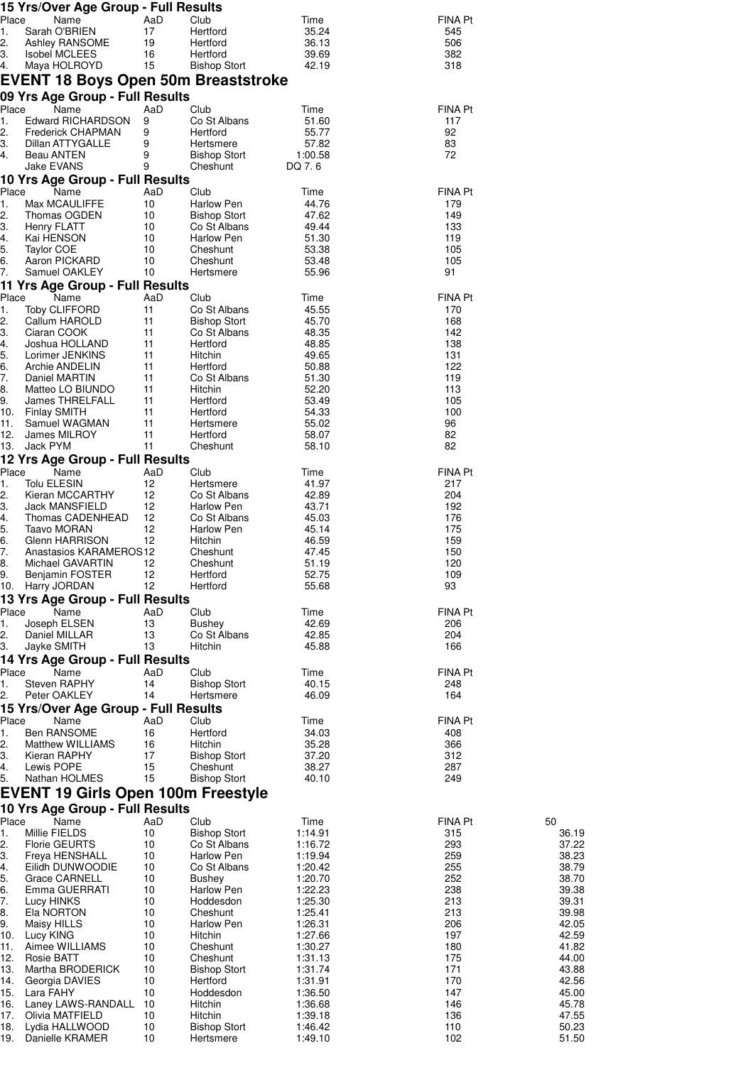|                        | 15 Yrs/Over Age Group - Full Results         |           |                                   |                    |                       |                |
|------------------------|----------------------------------------------|-----------|-----------------------------------|--------------------|-----------------------|----------------|
| Place<br>1.            | Name<br>Sarah O'BRIEN                        | AaD<br>17 | Club<br>Hertford                  | Time<br>35.24      | FINA Pt<br>545        |                |
| 2.                     | Ashley RANSOME                               | 19        | Hertford                          | 36.13              | 506                   |                |
| З.<br>4.               | <b>Isobel MCLEES</b><br>Maya HOLROYD         | 16<br>15  | Hertford<br><b>Bishop Stort</b>   | 39.69<br>42.19     | 382<br>318            |                |
|                        | EVENT 18 Boys Open 50m Breaststroke          |           |                                   |                    |                       |                |
|                        | 09 Yrs Age Group - Full Results              |           |                                   |                    |                       |                |
| Place<br>1.            | Name<br><b>Edward RICHARDSON</b>             | AaD<br>9  | Club<br>Co St Albans              | Time<br>51.60      | <b>FINA Pt</b><br>117 |                |
| 2.                     | <b>Frederick CHAPMAN</b>                     | 9         | Hertford                          | 55.77              | 92                    |                |
| 3.                     | Dillan ATTYGALLE                             | 9         | Hertsmere                         | 57.82              | 83                    |                |
| 4.                     | Beau ANTEN<br>Jake EVANS                     | 9<br>9    | <b>Bishop Stort</b><br>Cheshunt   | 1:00.58<br>DQ 7.6  | 72                    |                |
|                        | 10 Yrs Age Group - Full Results              |           |                                   |                    |                       |                |
| Place                  | Name                                         | AaD       | Club                              | Time               | <b>FINA Pt</b>        |                |
| 1.<br>2.               | Max MCAULIFFE<br>Thomas OGDEN                | 10<br>10  | Harlow Pen<br><b>Bishop Stort</b> | 44.76<br>47.62     | 179<br>149            |                |
| 3.                     | Henry FLATT                                  | 10        | Co St Albans                      | 49.44              | 133                   |                |
| 4.<br>5.               | Kai HENSON<br><b>Taylor COE</b>              | 10<br>10  | Harlow Pen<br>Cheshunt            | 51.30<br>53.38     | 119<br>105            |                |
| 6.                     | Aaron PICKARD                                | 10        | Cheshunt                          | 53.48              | 105                   |                |
| $\overline{7}$ .       | Samuel OAKLEY                                | 10        | Hertsmere                         | 55.96              | 91                    |                |
| Place                  | 11 Yrs Age Group - Full Results<br>Name      | AaD       | Club                              | Time               | <b>FINA Pt</b>        |                |
| 1.                     | <b>Toby CLIFFORD</b>                         | 11        | Co St Albans                      | 45.55              | 170                   |                |
| 2.                     | Callum HAROLD                                | 11        | <b>Bishop Stort</b>               | 45.70              | 168                   |                |
| 3.<br>4.               | Ciaran COOK<br>Joshua HOLLAND                | 11<br>11  | Co St Albans<br>Hertford          | 48.35<br>48.85     | 142<br>138            |                |
| 5.                     | Lorimer JENKINS                              | 11        | Hitchin                           | 49.65              | 131                   |                |
| 6.<br>7.               | Archie ANDELIN<br>Daniel MARTIN              | 11<br>11  | Hertford<br>Co St Albans          | 50.88<br>51.30     | 122<br>119            |                |
| 8.                     | Matteo LO BIUNDO                             | 11        | Hitchin                           | 52.20              | 113                   |                |
| 9.<br>10.              | James THRELFALL<br>Finlay SMITH              | 11<br>11  | Hertford<br>Hertford              | 53.49<br>54.33     | 105<br>100            |                |
| 11.                    | Samuel WAGMAN                                | 11        | Hertsmere                         | 55.02              | 96                    |                |
| 12.                    | James MILROY                                 | 11        | Hertford                          | 58.07              | 82                    |                |
| 13.                    | Jack PYM<br>12 Yrs Age Group - Full Results  | 11        | Cheshunt                          | 58.10              | 82                    |                |
| Place                  | Name                                         | AaD       | Club                              | Time               | <b>FINA Pt</b>        |                |
| 1.                     | Tolu ELESIN                                  | 12        | Hertsmere                         | 41.97              | 217                   |                |
| 2.<br>3.               | Kieran MCCARTHY<br>Jack MANSFIELD            | 12<br>12  | Co St Albans<br>Harlow Pen        | 42.89<br>43.71     | 204<br>192            |                |
| 4.                     | Thomas CADENHEAD                             | 12        | Co St Albans                      | 45.03              | 176                   |                |
| 5.<br>6.               | Taavo MORAN<br>Glenn HARRISON                | 12<br>12  | <b>Harlow Pen</b><br>Hitchin      | 45.14<br>46.59     | 175<br>159            |                |
| 7.                     | Anastasios KARAMEROS12                       |           | Cheshunt                          | 47.45              | 150                   |                |
| 8.<br>9.               | Michael GAVARTIN<br>- 12<br>Benjamin FOSTER  | 12        | Cheshunt<br>Hertford              | 51.19<br>52.75     | 120<br>109            |                |
| 10.                    | Harry JORDAN                                 | 12        | Hertford                          | 55.68              | 93                    |                |
|                        | 13 Yrs Age Group - Full Results              |           |                                   |                    |                       |                |
| Place<br>1.            | Name<br>Joseph ELSEN                         | AaD<br>13 | Club<br>Bushey                    | Time<br>42.69      | FINA Pt<br>206        |                |
| 2.                     | Daniel MILLAR                                | 13        | Co St Albans                      | 42.85              | 204                   |                |
| З.                     | Jayke SMITH                                  | 13        | Hitchin                           | 45.88              | 166                   |                |
| Place                  | 14 Yrs Age Group - Full Results<br>Name      | AaD       | Club                              | Time               | FINA Pt               |                |
| 1.                     | Steven RAPHY                                 | 14        | <b>Bishop Stort</b>               | 40.15              | 248                   |                |
| 2.                     | Peter OAKLEY                                 | 14        | Hertsmere                         | 46.09              | 164                   |                |
| Place                  | 15 Yrs/Over Age Group - Full Results<br>Name | AaD       | Club                              | Time               | FINA Pt               |                |
| 1.                     | Ben RANSOME                                  | 16        | Hertford                          | 34.03              | 408                   |                |
| 2.<br>3.               | <b>Matthew WILLIAMS</b><br>Kieran RAPHY      | 16<br>17  | Hitchin<br><b>Bishop Stort</b>    | 35.28<br>37.20     | 366<br>312            |                |
| 4.                     | Lewis POPE                                   | 15        | Cheshunt                          | 38.27              | 287                   |                |
| 5.                     | Nathan HOLMES                                | 15        | <b>Bishop Stort</b>               | 40.10              | 249                   |                |
|                        | EVENT 19 Girls Open 100m Freestyle           |           |                                   |                    |                       |                |
| Place                  | 10 Yrs Age Group - Full Results<br>Name      | AaD       | Club                              | Time               | <b>FINA Pt</b>        | 50             |
| 1.                     | Millie FIELDS                                | 10        | <b>Bishop Stort</b>               | 1:14.91            | 315                   | 36.19          |
| 2.<br>3.               | <b>Florie GEURTS</b><br>Freya HENSHALL       | 10<br>10  | Co St Albans<br>Harlow Pen        | 1:16.72<br>1:19.94 | 293<br>259            | 37.22<br>38.23 |
| 4.                     | Eilidh DUNWOODIE                             | 10        | Co St Albans                      | 1:20.42            | 255                   | 38.79          |
| 5.                     | Grace CARNELL                                | 10        | Bushey                            | 1:20.70            | 252                   | 38.70          |
| 6.<br>$\overline{7}$ . | Emma GUERRATI<br>Lucy HINKS                  | 10<br>10  | Harlow Pen<br>Hoddesdon           | 1:22.23<br>1:25.30 | 238<br>213            | 39.38<br>39.31 |
| 8.                     | Ela NORTON                                   | 10        | Cheshunt                          | 1:25.41            | 213                   | 39.98          |
| 9.<br>10.              | Maisy HILLS<br>Lucy KING                     | 10<br>10  | Harlow Pen<br>Hitchin             | 1:26.31<br>1:27.66 | 206<br>197            | 42.05<br>42.59 |
| 11.                    | Aimee WILLIAMS                               | 10        | Cheshunt                          | 1:30.27            | 180                   | 41.82          |
| 12.                    | <b>Rosie BATT</b>                            | 10        | Cheshunt                          | 1:31.13            | 175                   | 44.00          |
| 13.<br>14.             | Martha BRODERICK<br>Georgia DAVIES           | 10<br>10  | <b>Bishop Stort</b><br>Hertford   | 1:31.74<br>1:31.91 | 171<br>170            | 43.88<br>42.56 |
| 15.                    | Lara FAHY                                    | 10        | Hoddesdon                         | 1:36.50            | 147                   | 45.00          |
| 16.<br>17.             | Laney LAWS-RANDALL<br>Olivia MATFIELD        | 10<br>10  | Hitchin<br>Hitchin                | 1:36.68<br>1:39.18 | 146<br>136            | 45.78<br>47.55 |
| 18.                    | Lydia HALLWOOD                               | 10        | <b>Bishop Stort</b>               | 1:46.42            | 110                   | 50.23          |
| 19.                    | Danielle KRAMER                              | 10        | Hertsmere                         | 1:49.10            | 102                   | 51.50          |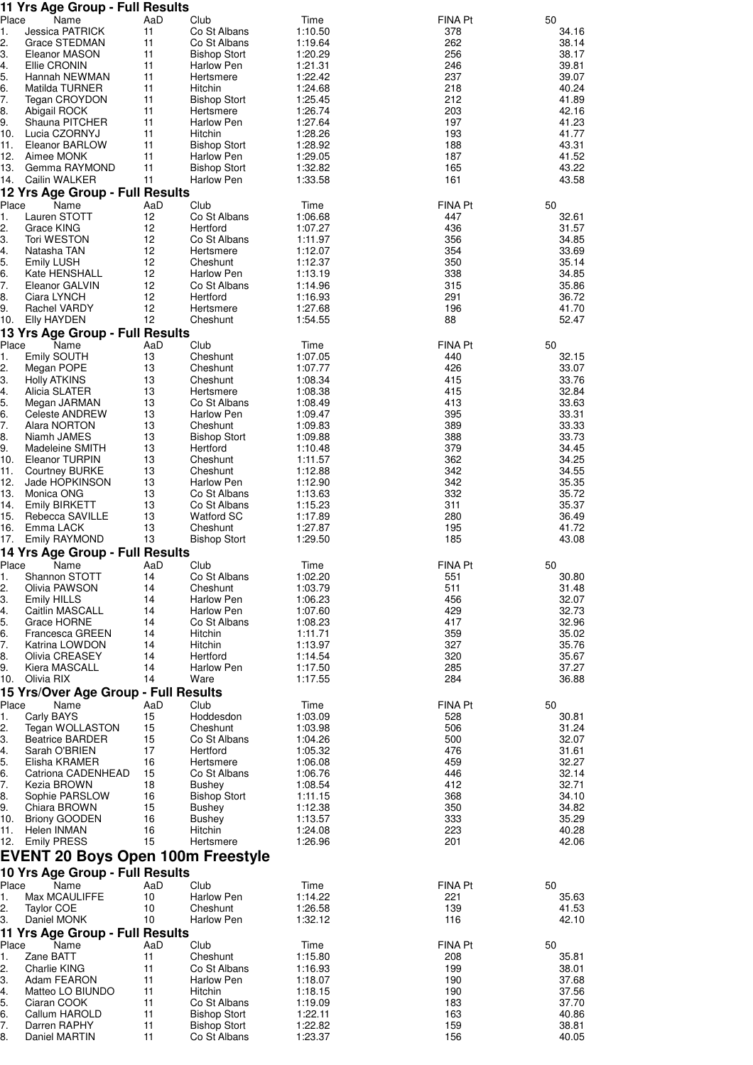|             | 11 Yrs Age Group - Full Results          |           |                                 |                    |                |                |
|-------------|------------------------------------------|-----------|---------------------------------|--------------------|----------------|----------------|
| Place<br>1. | Name<br><b>Jessica PATRICK</b>           | AaD<br>11 | Club<br>Co St Albans            | Time               | FINA Pt<br>378 | 50<br>34.16    |
| 2.          | Grace STEDMAN                            | 11        | Co St Albans                    | 1:10.50<br>1:19.64 | 262            | 38.14          |
| З.          | Eleanor MASON                            | 11        | <b>Bishop Stort</b>             | 1:20.29            | 256            | 38.17          |
| 4.          | Ellie CRONIN                             | 11        | Harlow Pen                      | 1:21.31            | 246            | 39.81          |
| 5.          | Hannah NEWMAN                            | 11        | Hertsmere                       | 1:22.42            | 237            | 39.07          |
| 6.          | Matilda TURNER                           | 11        | Hitchin                         | 1:24.68            | 218            | 40.24          |
| 7.          | Tegan CROYDON                            | 11        | <b>Bishop Stort</b>             | 1:25.45            | 212            | 41.89          |
| 8.          | Abigail ROCK                             | 11        | Hertsmere                       | 1:26.74            | 203            | 42.16          |
| 9.<br>10.   | Shauna PITCHER<br>Lucia CZORNYJ          | 11<br>11  | Harlow Pen<br>Hitchin           | 1:27.64<br>1:28.26 | 197<br>193     | 41.23<br>41.77 |
| 11.         | Eleanor BARLOW                           | 11        | <b>Bishop Stort</b>             | 1:28.92            | 188            | 43.31          |
| 12.         | Aimee MONK                               | 11        | <b>Harlow Pen</b>               | 1:29.05            | 187            | 41.52          |
| 13.         | Gemma RAYMOND                            | 11        | <b>Bishop Stort</b>             | 1:32.82            | 165            | 43.22          |
| 14.         | Cailin WALKER                            | 11        | Harlow Pen                      | 1:33.58            | 161            | 43.58          |
|             | 12 Yrs Age Group - Full Results          |           |                                 |                    |                |                |
| Place       | Name                                     | AaD       | Club                            | Time               | FINA Pt        | 50             |
| 1.          | Lauren STOTT                             | 12        | Co St Albans                    | 1:06.68            | 447            | 32.61          |
| 2.<br>3.    | Grace KING<br>Tori WESTON                | 12<br>12  | Hertford<br>Co St Albans        | 1:07.27<br>1:11.97 | 436<br>356     | 31.57<br>34.85 |
| 4.          | Natasha TAN                              | 12        | Hertsmere                       | 1:12.07            | 354            | 33.69          |
| 5.          | <b>Emily LUSH</b>                        | 12        | Cheshunt                        | 1:12.37            | 350            | 35.14          |
| 6.          | Kate HENSHALL                            | 12        | Harlow Pen                      | 1:13.19            | 338            | 34.85          |
| 7.          | Eleanor GALVIN                           | 12        | Co St Albans                    | 1:14.96            | 315            | 35.86          |
| 8.          | Ciara LYNCH                              | 12        | Hertford                        | 1:16.93            | 291            | 36.72          |
| 9.          | Rachel VARDY                             | 12        | Hertsmere                       | 1:27.68            | 196            | 41.70          |
| 10.         | <b>Elly HAYDEN</b>                       | 12        | Cheshunt                        | 1:54.55            | 88             | 52.47          |
| Place       | 13 Yrs Age Group - Full Results<br>Name  | AaD       | Club                            | Time               | FINA Pt        | 50             |
| 1.          | Emily SOUTH                              | 13        | Cheshunt                        | 1:07.05            | 440            | 32.15          |
| 2.          | Megan POPE                               | 13        | Cheshunt                        | 1:07.77            | 426            | 33.07          |
| 3.          | <b>Holly ATKINS</b>                      | 13        | Cheshunt                        | 1:08.34            | 415            | 33.76          |
| 4.          | Alicia SLATER                            | 13        | Hertsmere                       | 1:08.38            | 415            | 32.84          |
| 5.          | Megan JARMAN                             | 13        | Co St Albans                    | 1:08.49            | 413            | 33.63          |
| 6.          | Celeste ANDREW                           | 13        | Harlow Pen                      | 1:09.47            | 395            | 33.31          |
| 7.<br>8.    | Alara NORTON                             | 13<br>13  | Cheshunt                        | 1:09.83            | 389            | 33.33          |
| 9.          | Niamh JAMES<br>Madeleine SMITH           | 13        | <b>Bishop Stort</b><br>Hertford | 1:09.88<br>1:10.48 | 388<br>379     | 33.73<br>34.45 |
| 10.         | Eleanor TURPIN                           | 13        | Cheshunt                        | 1:11.57            | 362            | 34.25          |
| 11.         | <b>Courtney BURKE</b>                    | 13        | Cheshunt                        | 1:12.88            | 342            | 34.55          |
| 12.         | Jade HOPKINSON                           | 13        | Harlow Pen                      | 1:12.90            | 342            | 35.35          |
| 13.         | Monica ONG                               | 13        | Co St Albans                    | 1:13.63            | 332            | 35.72          |
| 14.         | <b>Emily BIRKETT</b>                     | 13        | Co St Albans                    | 1:15.23            | 311            | 35.37          |
| 15.         | Rebecca SAVILLE                          | 13        | <b>Watford SC</b>               | 1:17.89            | 280            | 36.49          |
| 16.<br>17.  | Emma LACK<br>Emily RAYMOND               | 13<br>13  | Cheshunt<br><b>Bishop Stort</b> | 1:27.87<br>1:29.50 | 195<br>185     | 41.72<br>43.08 |
|             | 14 Yrs Age Group - Full Results          |           |                                 |                    |                |                |
| Place       | Name                                     | AaD       | Club                            | Time               | <b>FINA Pt</b> | 50             |
| 1.          | Shannon STOTT                            | 14        | Co St Albans                    | 1:02.20            | 551            | 30.80          |
| 2.          | Olivia PAWSON                            | 14        | Cheshunt                        | 1:03.79            | 511            | 31.48          |
| З.          | <b>Emily HILLS</b>                       | 14        | <b>Harlow Pen</b>               | 1:06.23            | 456            | 32.07          |
| 4.          | Caitlin MASCALL                          | 14        | Harlow Pen                      | 1:07.60            | 429            | 32.73          |
| 5.          | Grace HORNE                              | 14        | Co St Albans                    | 1:08.23            | 417            | 32.96          |
| 6.<br>7.    | Francesca GREEN<br>Katrina LOWDON        | 14<br>14  | Hitchin<br>Hitchin              | 1:11.71<br>1:13.97 | 359<br>327     | 35.02<br>35.76 |
| 8.          | Olivia CREASEY                           | 14        | Hertford                        | 1:14.54            | 320            | 35.67          |
| 9.          | Kiera MASCALL                            | 14        | Harlow Pen                      | 1:17.50            | 285            | 37.27          |
| 10.         | Olivia RIX                               | 14        | Ware                            | 1:17.55            | 284            | 36.88          |
|             | 15 Yrs/Over Age Group - Full Results     |           |                                 |                    |                |                |
| Place       | Name                                     | AaD       | Club                            | Time               | <b>FINA Pt</b> | 50             |
| 1.          | Carly BAYS                               | 15        | Hoddesdon                       | 1:03.09            | 528            | 30.81          |
| 2.<br>З.    | Tegan WOLLASTON                          | 15<br>15  | Cheshunt                        | 1:03.98            | 506<br>500     | 31.24<br>32.07 |
| 4.          | <b>Beatrice BARDER</b><br>Sarah O'BRIEN  | 17        | Co St Albans<br>Hertford        | 1:04.26<br>1:05.32 | 476            | 31.61          |
| 5.          | Elisha KRAMER                            | 16        | Hertsmere                       | 1:06.08            | 459            | 32.27          |
| 6.          | Catriona CADENHEAD                       | 15        | Co St Albans                    | 1:06.76            | 446            | 32.14          |
| 7.          | Kezia BROWN                              | 18        | Bushey                          | 1:08.54            | 412            | 32.71          |
| 8.          | Sophie PARSLOW                           | 16        | <b>Bishop Stort</b>             | 1:11.15            | 368            | 34.10          |
| 9.          | Chiara BROWN                             | 15        | <b>Bushey</b>                   | 1:12.38            | 350            | 34.82          |
| 10.<br>11.  | <b>Briony GOODEN</b><br>Helen INMAN      | 16<br>16  | <b>Bushey</b><br>Hitchin        | 1:13.57<br>1:24.08 | 333<br>223     | 35.29<br>40.28 |
| 12.         | <b>Emily PRESS</b>                       | 15        | Hertsmere                       | 1:26.96            | 201            | 42.06          |
|             | <b>EVENT 20 Boys Open 100m Freestyle</b> |           |                                 |                    |                |                |
|             | 10 Yrs Age Group - Full Results          |           |                                 |                    |                |                |
| Place       | Name                                     | AaD       | Club                            | Time               | <b>FINA Pt</b> | 50             |
| 1.          | Max MCAULIFFE                            | 10        | <b>Harlow Pen</b>               | 1:14.22            | 221            | 35.63          |
| 2.          | <b>Taylor COE</b>                        | 10        | Cheshunt                        | 1:26.58            | 139            | 41.53          |
| З.          | Daniel MONK                              | 10        | Harlow Pen                      | 1:32.12            | 116            | 42.10          |
|             | 11 Yrs Age Group - Full Results          |           |                                 |                    |                |                |
| Place<br>1. | Name<br>Zane BATT                        | AaD<br>11 | Club<br>Cheshunt                | Time<br>1:15.80    | FINA Pt<br>208 | 50<br>35.81    |
| 2.          | Charlie KING                             | 11        | Co St Albans                    | 1:16.93            | 199            | 38.01          |
| З.          | Adam FEARON                              | 11        | Harlow Pen                      | 1:18.07            | 190            | 37.68          |
| 4.          | Matteo LO BIUNDO                         | 11        | Hitchin                         | 1:18.15            | 190            | 37.56          |
| 5.          | Ciaran COOK                              | 11        | Co St Albans                    | 1:19.09            | 183            | 37.70          |
| 6.          | Callum HAROLD                            | 11        | <b>Bishop Stort</b>             | 1:22.11            | 163            | 40.86          |
| 7.          | Darren RAPHY                             | 11        | <b>Bishop Stort</b>             | 1:22.82            | 159            | 38.81          |
| 8.          | Daniel MARTIN                            | 11        | Co St Albans                    | 1:23.37            | 156            | 40.05          |